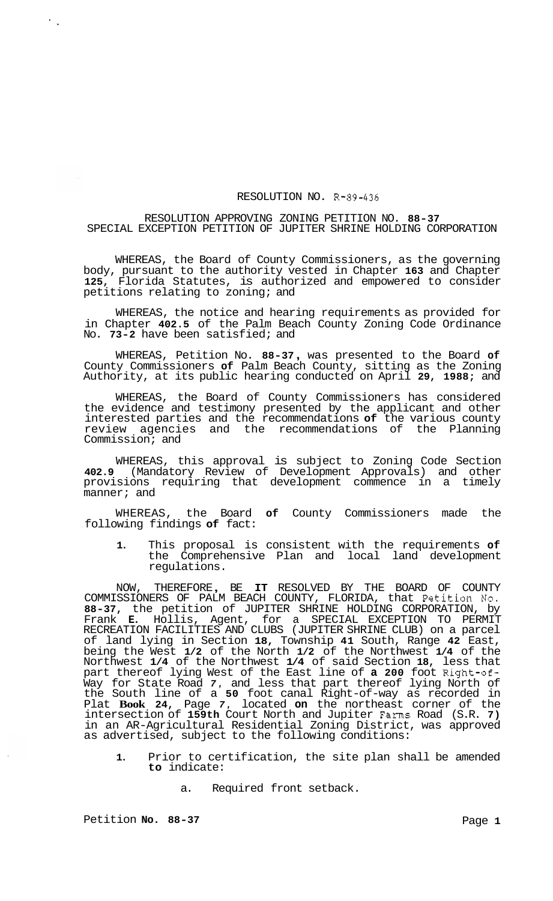## RESOLUTION NO. R-89-436

RESOLUTION APPROVING ZONING PETITION NO. **88-37**  SPECIAL EXCEPTION PETITION OF JUPITER SHRINE HOLDING CORPORATION

WHEREAS, the Board of County Commissioners, as the governing body, pursuant to the authority vested in Chapter **163** and Chapter **125,** Florida Statutes, is authorized and empowered to consider petitions relating to zoning; and

WHEREAS, the notice and hearing requirements as provided for in Chapter **402.5** of the Palm Beach County Zoning Code Ordinance No. **73-2** have been satisfied; and

WHEREAS, Petition No. **88-37** , was presented to the Board **of**  County Commissioners **of** Palm Beach County, sitting as the Zoning Authority, at its public hearing conducted on April **29, 1988;** and

WHEREAS, the Board of County Commissioners has considered the evidence and testimony presented by the applicant and other interested parties and the recommendations **of** the various county review agencies and the recommendations of the Planning Commission; and

WHEREAS, this approval is subject to Zoning Code Section **402.9** (Mandatory Review of Development Approvals) and other provisions requiring that development commence in a timely manner; and

WHEREAS, the Board **of** County Commissioners made the following findings **of** fact:

**1.** This proposal is consistent with the requirements **of**  the Comprehensive Plan and local land development regulations.

NOW, THEREFORE , BE **IT** RESOLVED BY THE BOARD OF COUNTY COMMISSIONERS OF PALM BEACH COUNTY, FLORIDA, that Petition No. **88-37,** the petition of JUPITER SHRINE HOLDING CORPORATION, by Frank **E.** Hollis, Agent, for a SPECIAL EXCEPTION TO PERMIT RECREATION FACILITIES AND CLUBS (JUPITER SHRINE CLUB) on a parcel of land lying in Section **18,** Township **41** South, Range **42** East, being the West **1/2** of the North **1/2** of the Northwest **1/4** of the Northwest **1/4** of the Northwest **1/4** of said Section **18,** less that part thereof lying West of the East line of **a 200** foot Right-of-Way for State Road *7,* and less that part thereof lying North of the South line of a **50** foot canal Right-of-way as recorded in Plat **Book 24,** Page *7,* located **on** the northeast corner of the intersection of **159th** Court North and Jupiter Farms Road (S.R. **7)**  in an AR-Agricultural Residential Zoning District, was approved as advertised, subject to the following conditions:

- **1.** Prior to certification, the site plan shall be amended **to** indicate:
	- a. Required front setback.

Petition **No. 88-37** Page **1** 

 $\mathcal{F}_{\rm{out}}$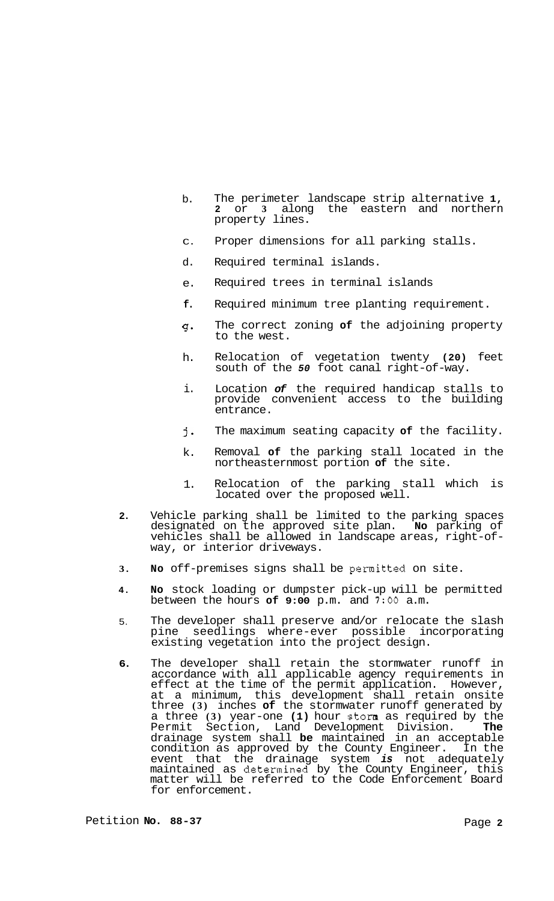- b. The perimeter landscape strip alternative **1, 2** or **3** along the eastern and northern property lines.
- C. Proper dimensions for all parking stalls.
- d. Required terminal islands.
- e. Required trees in terminal islands
- **f.**  Required minimum tree planting requirement.
- *4.*  The correct zoning **of** the adjoining property to the west.
- h. Relocation of vegetation twenty **(20)** feet south of the *50* foot canal right-of-way.
- i. Location *of* the required handicap stalls to provide convenient access to the building entrance.
- j. The maximum seating capacity **of** the facility.
- k. Removal **of** the parking stall located in the northeasternmost portion **of** the site.
- 1. Relocation of the parking stall which is located over the proposed well.
- **2.**  Vehicle parking shall be limited to the parking spaces designated on the approved site plan. **No** parking of vehicles shall be allowed in landscape areas, right-of- way, or interior driveways.
- **3. No** off-premises signs shall be permitted on site.
- **4. No** stock loading or dumpster pick-up will be permitted between the hours **of 9:00** p.m. and *7:OO* a.m.
- 5. The developer shall preserve and/or relocate the slash pine seedlings where-ever possible incorporating existing vegetation into the project design.
- **6.**  The developer shall retain the stormwater runoff in accordance with all applicable agency requirements in effect at the time of the permit application. However, at a minimum, this development shall retain onsite three **(3)** inches **of** the stormwater runoff generated by a three **(3)** year-one **(1)** hour storm as required by the Permit Section, Land Development Division. **The**  drainage system shall **be** maintained in an acceptable condition as approved by the County Engineer. In the event that the drainage system *is* not adequately maintained as determined by the County Engineer, this matter will be referred to the Code Enforcement Board for enforcement.